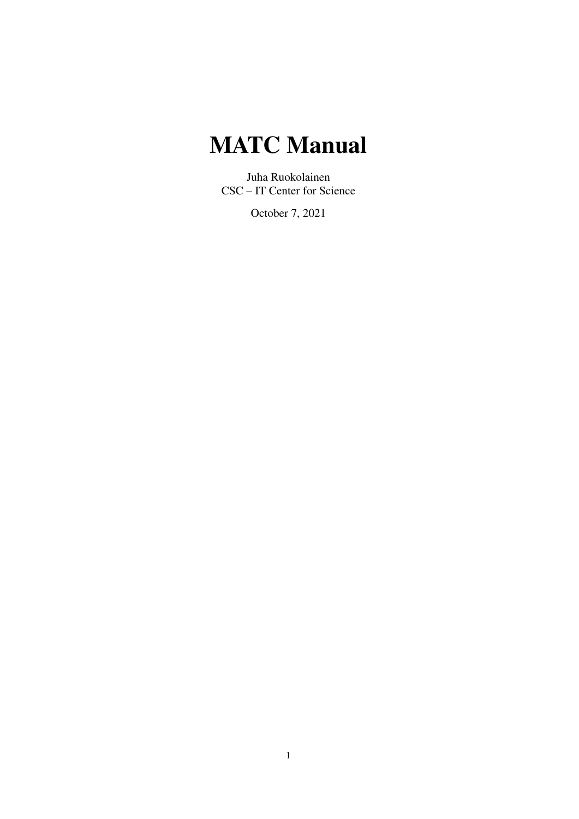# **MATC Manual**

Juha Ruokolainen CSC – IT Center for Science

October 7, 2021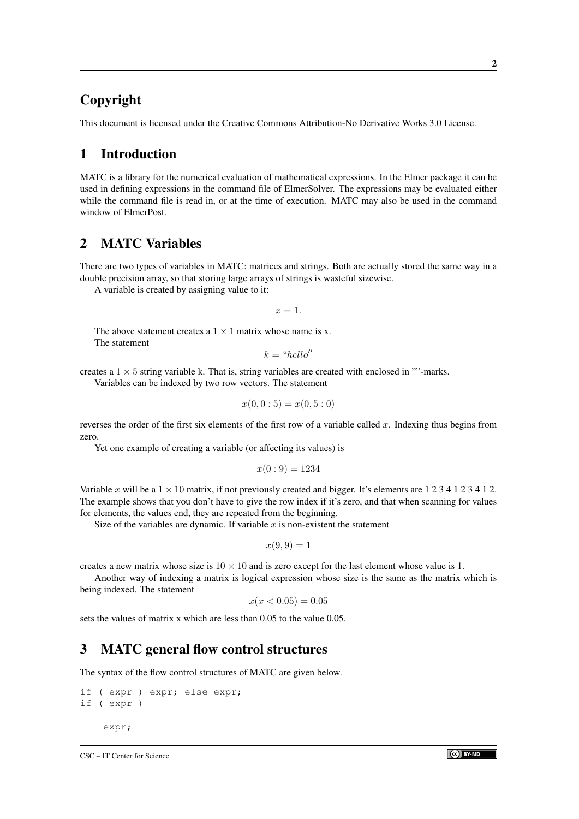# Copyright

This document is licensed under the Creative Commons Attribution-No Derivative Works 3.0 License.

# 1 Introduction

MATC is a library for the numerical evaluation of mathematical expressions. In the Elmer package it can be used in defining expressions in the command file of ElmerSolver. The expressions may be evaluated either while the command file is read in, or at the time of execution. MATC may also be used in the command window of ElmerPost.

# 2 MATC Variables

There are two types of variables in MATC: matrices and strings. Both are actually stored the same way in a double precision array, so that storing large arrays of strings is wasteful sizewise.

A variable is created by assigning value to it:

 $x = 1$ 

The above statement creates a  $1 \times 1$  matrix whose name is x. The statement

Variables can be indexed by two row vectors. The statement

 $k = "hello"$ 

creates a  $1 \times 5$  string variable k. That is, string variables are created with enclosed in ""-marks.

 $(0, 0, 5)$   $(0, 5, 0)$ 

$$
x(0,0:b) = x(0,b:b)
$$

reverses the order of the first six elements of the first row of a variable called  $x$ . Indexing thus begins from zero.

Yet one example of creating a variable (or affecting its values) is

$$
x(0:9) = 1234
$$

Variable x will be a  $1 \times 10$  matrix, if not previously created and bigger. It's elements are 1 2 3 4 1 2 3 4 1 2. The example shows that you don't have to give the row index if it's zero, and that when scanning for values for elements, the values end, they are repeated from the beginning.

Size of the variables are dynamic. If variable  $x$  is non-existent the statement

$$
x(9,9) = 1
$$

creates a new matrix whose size is  $10 \times 10$  and is zero except for the last element whose value is 1.

Another way of indexing a matrix is logical expression whose size is the same as the matrix which is being indexed. The statement

$$
x(x < 0.05) = 0.05
$$

sets the values of matrix x which are less than 0.05 to the value 0.05.

### 3 MATC general flow control structures

The syntax of the flow control structures of MATC are given below.

```
if ( expr ) expr; else expr;
if ( expr )
    expr;
```
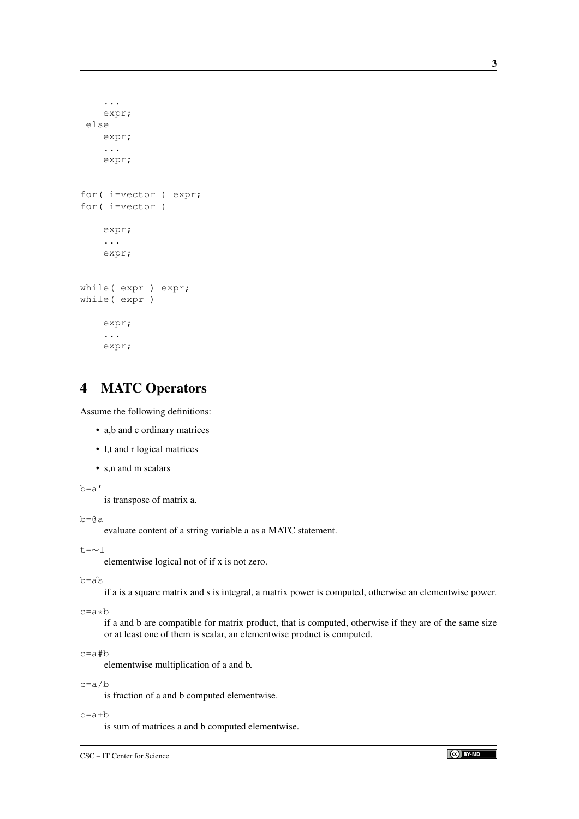```
...
    expr;
 else
    expr;
    ...
    expr;
for( i=vector ) expr;
for( i=vector )
    expr;
    ...
    expr;
while( expr ) expr;
while( expr )
    expr;
    ...
    expr;
```
# 4 MATC Operators

Assume the following definitions:

- a,b and c ordinary matrices
- l,t and r logical matrices
- s,n and m scalars

b=a'

is transpose of matrix a.

 $b=0a$ 

evaluate content of a string variable a as a MATC statement.

t=∼l

elementwise logical not of if x is not zero.

b=aˆs

if a is a square matrix and s is integral, a matrix power is computed, otherwise an elementwise power.

c=a\*b

if a and b are compatible for matrix product, that is computed, otherwise if they are of the same size or at least one of them is scalar, an elementwise product is computed.

c=a#b

elementwise multiplication of a and b.

c=a/b

is fraction of a and b computed elementwise.

c=a+b

is sum of matrices a and b computed elementwise.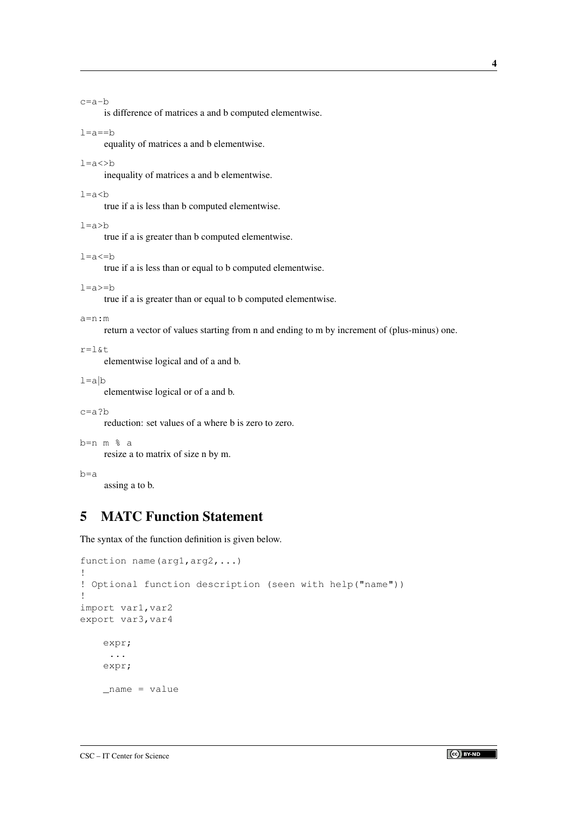c=a-b

is difference of matrices a and b computed elementwise.

```
l=a==b
```
equality of matrices a and b elementwise.

### $l=a<>b$

inequality of matrices a and b elementwise.

#### $l = a < b$

true if a is less than b computed elementwise.

 $l=a>b$ 

true if a is greater than b computed elementwise.

 $l=a<=b$ 

true if a is less than or equal to b computed elementwise.

 $l = a \ge b$ 

true if a is greater than or equal to b computed elementwise.

```
a=n:m
```
return a vector of values starting from n and ending to m by increment of (plus-minus) one.

```
r=l&t
```
elementwise logical and of a and b.

```
1 = a/b
```
elementwise logical or of a and b.

c=a?b

reduction: set values of a where b is zero to zero.

```
b=n m % a
```
resize a to matrix of size n by m.

```
b=a
```
assing a to b.

# 5 MATC Function Statement

The syntax of the function definition is given below.

```
function name(arg1,arg2,...)
!
! Optional function description (seen with help("name"))
!
import var1, var2
export var3, var4
    expr;
     ...
    expr;
    _name = value
```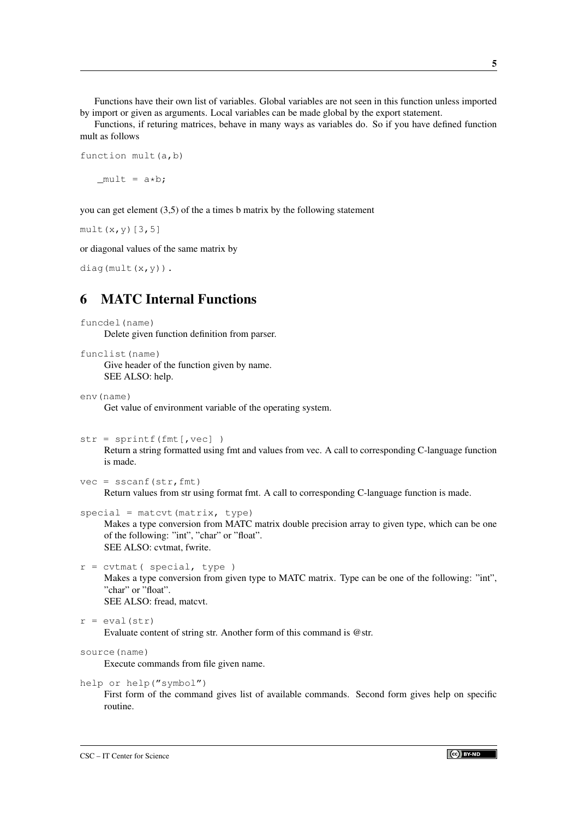Functions have their own list of variables. Global variables are not seen in this function unless imported by import or given as arguments. Local variables can be made global by the export statement.

Functions, if returing matrices, behave in many ways as variables do. So if you have defined function mult as follows

function mult(a,b)  $mult = a*b;$ 

you can get element (3,5) of the a times b matrix by the following statement

mult $(x, y)$ [3,5]

or diagonal values of the same matrix by

```
diag(mult(x,y)).
```
# 6 MATC Internal Functions

```
funcdel(name)
```
Delete given function definition from parser.

```
funclist(name)
```
Give header of the function given by name. SEE ALSO: help.

env(name)

Get value of environment variable of the operating system.

```
str = sprintf(fmt[,vec] )
```
Return a string formatted using fmt and values from vec. A call to corresponding C-language function is made.

```
vec = \text{sscant}(\text{str},fmt)
```
Return values from str using format fmt. A call to corresponding C-language function is made.

 $special = matter(t, type)$ 

Makes a type conversion from MATC matrix double precision array to given type, which can be one of the following: "int", "char" or "float". SEE ALSO: cvtmat, fwrite.

```
r = \text{cutmat} ( special, type )
```
Makes a type conversion from given type to MATC matrix. Type can be one of the following: "int", "char" or "float". SEE ALSO: fread, matcvt.

```
r = eval(str)
```
Evaluate content of string str. Another form of this command is @str.

```
source(name)
```
Execute commands from file given name.

```
help or help("symbol")
```
First form of the command gives list of available commands. Second form gives help on specific routine.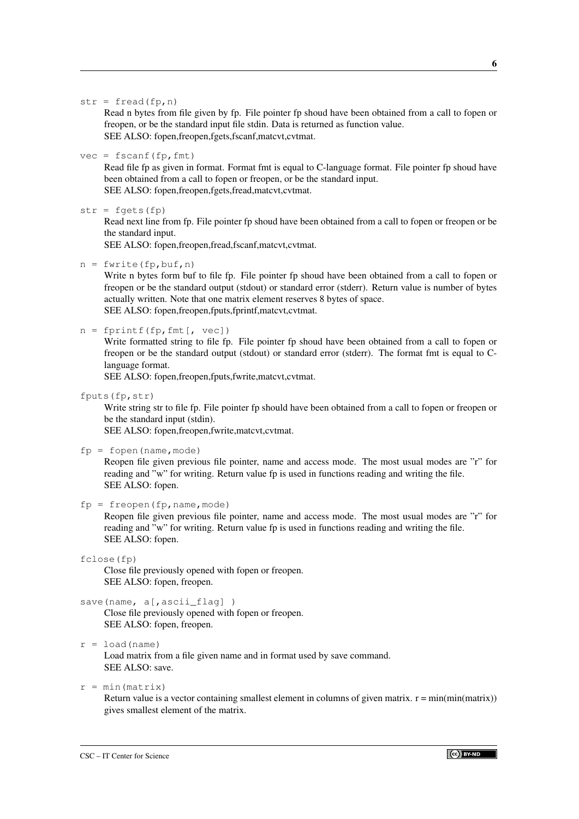#### $str = fread(fp, n)$

Read n bytes from file given by fp. File pointer fp shoud have been obtained from a call to fopen or freopen, or be the standard input file stdin. Data is returned as function value. SEE ALSO: fopen,freopen,fgets,fscanf,matcvt,cvtmat.

### $vec = fscanf(fp, fmt)$

Read file fp as given in format. Format fmt is equal to C-language format. File pointer fp shoud have been obtained from a call to fopen or freopen, or be the standard input. SEE ALSO: fopen,freopen,fgets,fread,matcvt,cvtmat.

### $str = fgets(fp)$

Read next line from fp. File pointer fp shoud have been obtained from a call to fopen or freopen or be the standard input.

SEE ALSO: fopen,freopen,fread,fscanf,matcvt,cvtmat.

 $n = fwrite(fp,buf,n)$ 

Write n bytes form buf to file fp. File pointer fp shoud have been obtained from a call to fopen or freopen or be the standard output (stdout) or standard error (stderr). Return value is number of bytes actually written. Note that one matrix element reserves 8 bytes of space. SEE ALSO: fopen,freopen,fputs,fprintf,matcvt,cvtmat.

### $n =$  fprintf(fp, fmt[, vec])

Write formatted string to file fp. File pointer fp shoud have been obtained from a call to fopen or freopen or be the standard output (stdout) or standard error (stderr). The format fmt is equal to Clanguage format.

SEE ALSO: fopen,freopen,fputs,fwrite,matcvt,cvtmat.

fputs(fp,str)

Write string str to file fp. File pointer fp should have been obtained from a call to fopen or freopen or be the standard input (stdin).

SEE ALSO: fopen,freopen,fwrite,matcvt,cvtmat.

 $fp = fopen(name, mode)$ 

Reopen file given previous file pointer, name and access mode. The most usual modes are "r" for reading and "w" for writing. Return value fp is used in functions reading and writing the file. SEE ALSO: fopen.

#### $fp = freopen(fp, name, mode)$

Reopen file given previous file pointer, name and access mode. The most usual modes are "r" for reading and "w" for writing. Return value fp is used in functions reading and writing the file. SEE ALSO: fopen.

#### fclose(fp)

Close file previously opened with fopen or freopen. SEE ALSO: fopen, freopen.

### save(name, a[,ascii\_flag])

Close file previously opened with fopen or freopen. SEE ALSO: fopen, freopen.

### $r =$  load(name)

Load matrix from a file given name and in format used by save command. SEE ALSO: save.

### $r = min(matrix)$

Return value is a vector containing smallest element in columns of given matrix.  $r = min(min(maxrix))$ gives smallest element of the matrix.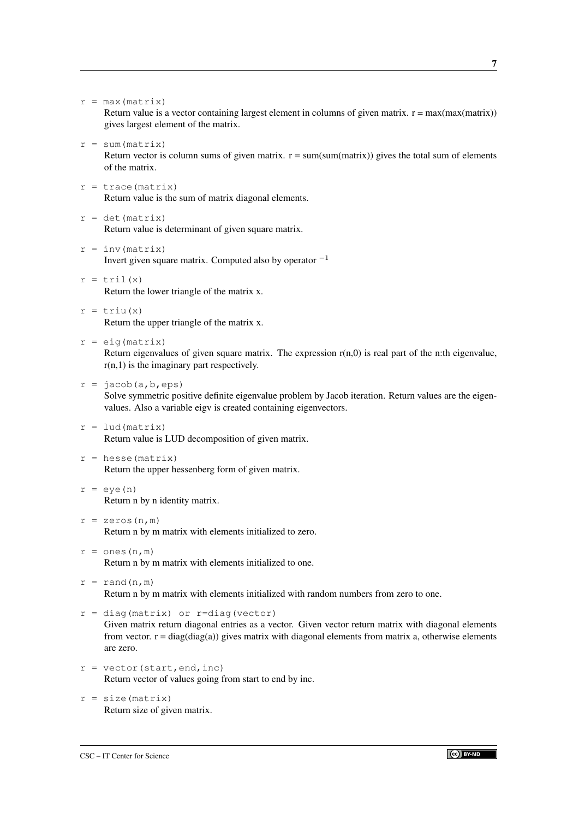$r = max(max)$ 

Return value is a vector containing largest element in columns of given matrix.  $r = max(max(matrix))$ gives largest element of the matrix.

 $r = sum(matrix)$ 

Return vector is column sums of given matrix.  $r = sum(sum(matrix))$  gives the total sum of elements of the matrix.

- $r = \text{trace}(\text{matrix})$ Return value is the sum of matrix diagonal elements.
- $r = det(matrix)$ Return value is determinant of given square matrix.
- $r = inv(matrix)$ Invert given square matrix. Computed also by operator  $^{-1}$
- $r = \text{tril}(x)$ Return the lower triangle of the matrix x.
- $r = \text{triu}(x)$ Return the upper triangle of the matrix x.
- $r = eig$  (matrix)

Return eigenvalues of given square matrix. The expression  $r(n,0)$  is real part of the n:th eigenvalue,  $r(n,1)$  is the imaginary part respectively.

 $r = jacob(a, b, eps)$ 

Solve symmetric positive definite eigenvalue problem by Jacob iteration. Return values are the eigenvalues. Also a variable eigv is created containing eigenvectors.

- $r =$  lud (matrix) Return value is LUD decomposition of given matrix.
- $r =$  hesse (matrix) Return the upper hessenberg form of given matrix.
- $r = eye(n)$ Return n by n identity matrix.
- $r =$  zeros(n, m) Return n by m matrix with elements initialized to zero.
- $r = ones(n,m)$ Return n by m matrix with elements initialized to one.
- $r = \text{rand}(n,m)$ Return n by m matrix with elements initialized with random numbers from zero to one.
- $r = diag(matrix)$  or r=diag(vector)

Given matrix return diagonal entries as a vector. Given vector return matrix with diagonal elements from vector.  $r = diag(diag(a))$  gives matrix with diagonal elements from matrix a, otherwise elements are zero.

- $r = vector(stat, end, inc)$ Return vector of values going from start to end by inc.
- $r = size(matrix)$ Return size of given matrix.